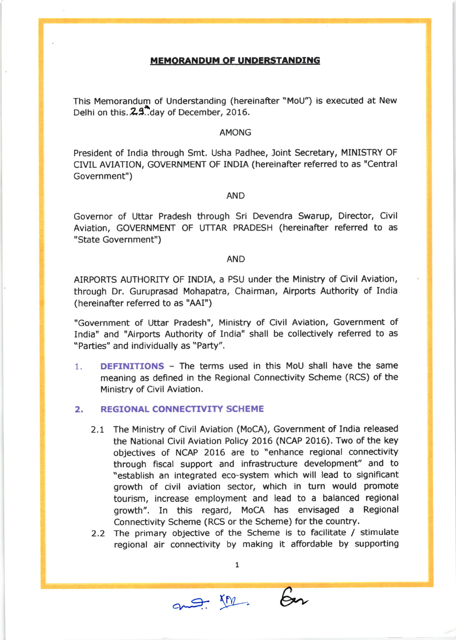## **MEMORANDUM OF UNDERSTANDING**

This Memorandum of Understanding (hereinafter "MoU") is executed at New Delhi on this. 2.9. day of December, 2016.

#### **AMONG**

President of India through Smt. Usha Padhee, Joint Secretary, MINISTRY OF CIVIL AVIATION, GOVERNMENT OF INDIA (hereinafter referred to as "Central Government")

## **AND**

Governor of Uttar Pradesh through Sri Devendra Swarup, Director, Civil Aviation, GOVERNMENT OF UTTAR PRADESH (hereinafter referred to as "State Government")

## **AND**

AIRPORTS AUTHORITY OF INDIA, a PSU under the Ministry of Civil Aviation, through Dr. Guruprasad Mohapatra, Chairman, Airports Authority of India (hereinafter referred to as "AAI")

"Government of Uttar Pradesh", Ministry of Civil Aviation, Government of India" and "Airports Authority of India" shall be collectively referred to as "Parties" and individually as "Party".

**DEFINITIONS** - The terms used in this MoU shall have the same 1. meaning as defined in the Regional Connectivity Scheme (RCS) of the Ministry of Civil Aviation.

#### $2.$ **REGIONAL CONNECTIVITY SCHEME**

- 2.1 The Ministry of Civil Aviation (MoCA), Government of India released the National Civil Aviation Policy 2016 (NCAP 2016). Two of the key objectives of NCAP 2016 are to "enhance regional connectivity through fiscal support and infrastructure development" and to "establish an integrated eco-system which will lead to significant growth of civil aviation sector, which in turn would promote tourism, increase employment and lead to a balanced regional growth". In this regard, MoCA has envisaged a Regional Connectivity Scheme (RCS or the Scheme) for the country.
- 2.2 The primary objective of the Scheme is to facilitate / stimulate regional air connectivity by making it affordable by supporting

 ${\bf 1}$ 

and Mr. En